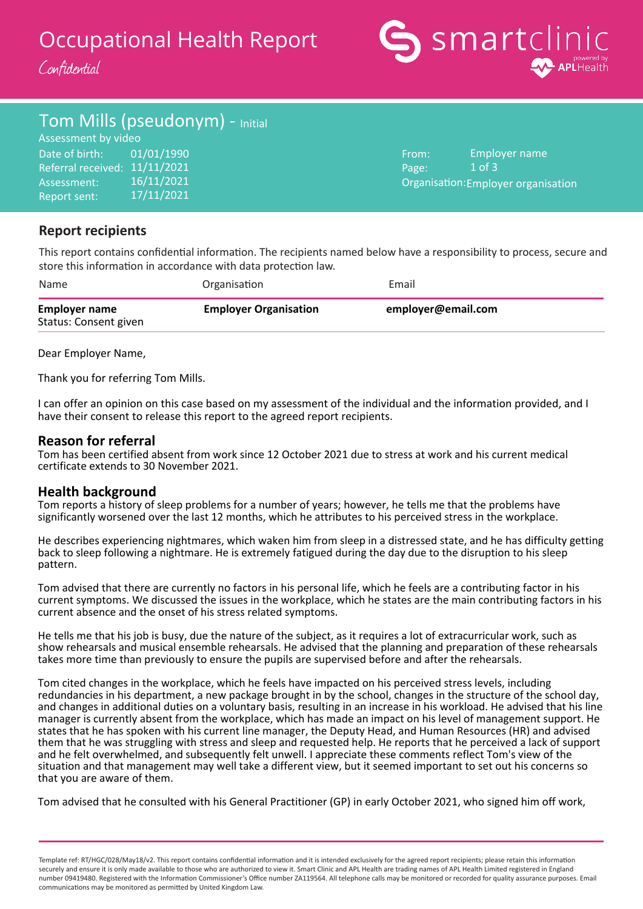# Occupational Health Report

Confidential



### Tom Mills (pseudonym) - Initial

Date of birth: Referral received: 11/11/2021 Assessment: Report sent: Assessment by video 01/01/1990 16/11/2021 17/11/2021

From: Page: Organisation: Employer organisationEmployer name  $1$  of  $3$ 

### **Report recipients**

This report contains confidential information. The recipients named below have a responsibility to process, secure and store this information in accordance with data protection law.

| Name                                          | Organisation                 | Email              |
|-----------------------------------------------|------------------------------|--------------------|
| <b>Employer name</b><br>Status: Consent given | <b>Employer Organisation</b> | employer@email.com |

Dear Employer Name,

Thank you for referring Tom Mills.

I can offer an opinion on this case based on my assessment of the individual and the information provided, and I have their consent to release this report to the agreed report recipients.

#### **Reason for referral**

Tom has been certified absent from work since 12 October 2021 due to stress at work and his current medical certificate extends to 30 November 2021.

#### **Health background**

Tom reports a history of sleep problems for a number of years; however, he tells me that the problems have significantly worsened over the last 12 months, which he attributes to his perceived stress in the workplace.

He describes experiencing nightmares, which waken him from sleep in a distressed state, and he has difficulty getting back to sleep following a nightmare. He is extremely fatigued during the day due to the disruption to his sleep pattern.

Tom advised that there are currently no factors in his personal life, which he feels are a contributing factor in his current symptoms. We discussed the issues in the workplace, which he states are the main contributing factors in his current absence and the onset of his stress related symptoms.

He tells me that his job is busy, due the nature of the subject, as it requires a lot of extracurricular work, such as show rehearsals and musical ensemble rehearsals. He advised that the planning and preparation of these rehearsals takes more time than previously to ensure the pupils are supervised before and after the rehearsals.

Tom cited changes in the workplace, which he feels have impacted on his perceived stress levels, including redundancies in his department, a new package brought in by the school, changes in the structure of the school day, and changes in additional duties on a voluntary basis, resulting in an increase in his workload. He advised that his line manager is currently absent from the workplace, which has made an impact on his level of management support. He states that he has spoken with his current line manager, the Deputy Head, and Human Resources (HR) and advised them that he was struggling with stress and sleep and requested help. He reports that he perceived a lack of support and he felt overwhelmed, and subsequently felt unwell. I appreciate these comments reflect Tom's view of the situation and that management may well take a different view, but it seemed important to set out his concerns so that you are aware of them.

Tom advised that he consulted with his General Practitioner (GP) in early October 2021, who signed him off work,

Template ref: RT/HGC/028/May18/v2. This report contains confidential information and it is intended exclusively for the agreed report recipients; please retain this information securely and ensure it is only made available to those who are authorized to view it. Smart Clinic and APL Health are trading names of APL Health Limited registered in England number 09419480. Registered with the Information Commissioner's Office number ZA119564. All telephone calls may be monitored or recorded for quality assurance purposes. Email communications may be monitored as permitted by United Kingdom Law.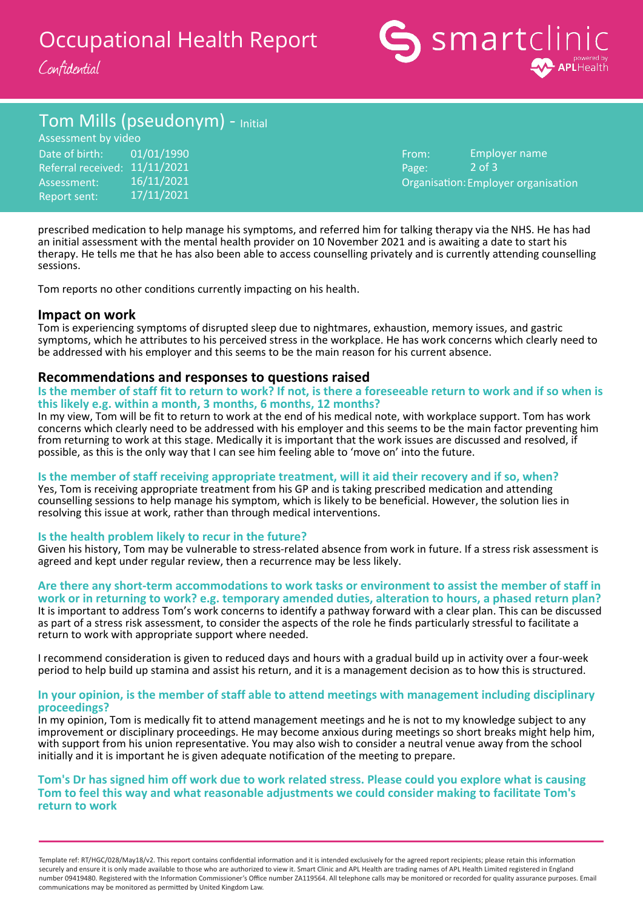# Occupational Health Report





## Tom Mills (pseudonym) - Initial

Date of birth: Referral received: 11/11/2021 Assessment: Report sent: 16/11/2021 17/11/2021 Assessment by video 01/01/1990

From: Page: Organisation: Employer organisation 2 of 3 Employer name

prescribed medication to help manage his symptoms, and referred him for talking therapy via the NHS. He has had an initial assessment with the mental health provider on 10 November 2021 and is awaiting a date to start his therapy. He tells me that he has also been able to access counselling privately and is currently attending counselling sessions.

Tom reports no other conditions currently impacting on his health.

#### **Impact on work**

Tom is experiencing symptoms of disrupted sleep due to nightmares, exhaustion, memory issues, and gastric symptoms, which he attributes to his perceived stress in the workplace. He has work concerns which clearly need to be addressed with his employer and this seems to be the main reason for his current absence.

#### **Recommendations and responses to questions raised**

**Is the member of staff fit to return to work? If not, is there a foreseeable return to work and if so when is this likely e.g. within a month, 3 months, 6 months, 12 months?**

In my view, Tom will be fit to return to work at the end of his medical note, with workplace support. Tom has work concerns which clearly need to be addressed with his employer and this seems to be the main factor preventing him from returning to work at this stage. Medically it is important that the work issues are discussed and resolved, if possible, as this is the only way that I can see him feeling able to 'move on' into the future.

#### **Is the member of staff receiving appropriate treatment, will it aid their recovery and if so, when?**

Yes, Tom is receiving appropriate treatment from his GP and is taking prescribed medication and attending counselling sessions to help manage his symptom, which is likely to be beneficial. However, the solution lies in resolving this issue at work, rather than through medical interventions.

#### **Is the health problem likely to recur in the future?**

Given his history, Tom may be vulnerable to stress-related absence from work in future. If a stress risk assessment is agreed and kept under regular review, then a recurrence may be less likely.

**Are there any short-term accommodations to work tasks or environment to assist the member of staff in work or in returning to work? e.g. temporary amended duties, alteration to hours, a phased return plan?** It is important to address Tom's work concerns to identify a pathway forward with a clear plan. This can be discussed as part of a stress risk assessment, to consider the aspects of the role he finds particularly stressful to facilitate a return to work with appropriate support where needed.

I recommend consideration is given to reduced days and hours with a gradual build up in activity over a four-week period to help build up stamina and assist his return, and it is a management decision as to how this is structured.

#### **In your opinion, is the member of staff able to attend meetings with management including disciplinary proceedings?**

In my opinion, Tom is medically fit to attend management meetings and he is not to my knowledge subject to any improvement or disciplinary proceedings. He may become anxious during meetings so short breaks might help him, with support from his union representative. You may also wish to consider a neutral venue away from the school initially and it is important he is given adequate notification of the meeting to prepare.

#### **Tom's Dr has signed him off work due to work related stress. Please could you explore what is causing Tom to feel this way and what reasonable adjustments we could consider making to facilitate Tom's return to work**

Template ref: RT/HGC/028/May18/v2. This report contains confidential information and it is intended exclusively for the agreed report recipients; please retain this information securely and ensure it is only made available to those who are authorized to view it. Smart Clinic and APL Health are trading names of APL Health Limited registered in England number 09419480. Registered with the Information Commissioner's Office number ZA119564. All telephone calls may be monitored or recorded for quality assurance purposes. Email communications may be monitored as permitted by United Kingdom Law.